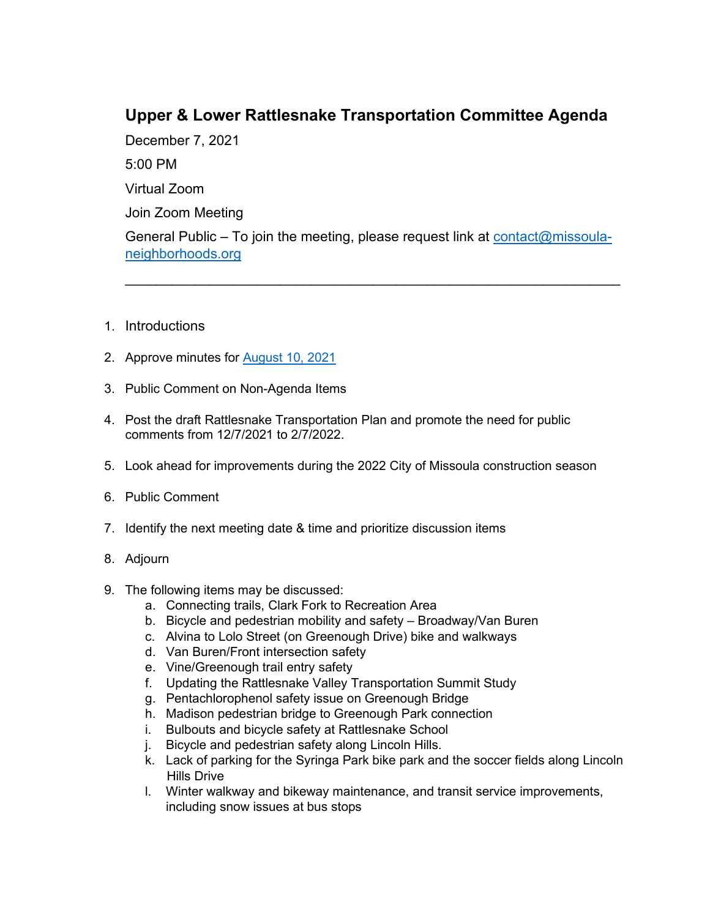## **Upper & Lower Rattlesnake Transportation Committee Agenda**

\_\_\_\_\_\_\_\_\_\_\_\_\_\_\_\_\_\_\_\_\_\_\_\_\_\_\_\_\_\_\_\_\_\_\_\_\_\_\_\_\_\_\_\_\_\_\_\_\_\_\_\_\_\_\_\_\_\_\_\_\_\_\_\_

December 7, 2021 5:00 PM Virtual Zoom Join Zoom Meeting General Public – To join the meeting, please request link at [contact@missoula](mailto:contact@missoula-neighborhoods.org)[neighborhoods.org](mailto:contact@missoula-neighborhoods.org)

- 1. Introductions
- 2. Approve minutes for [August 10, 2021](https://www.ci.missoula.mt.us/Archive.aspx?ADID=16194)
- 3. Public Comment on Non-Agenda Items
- 4. Post the draft Rattlesnake Transportation Plan and promote the need for public comments from 12/7/2021 to 2/7/2022.
- 5. Look ahead for improvements during the 2022 City of Missoula construction season
- 6. Public Comment
- 7. Identify the next meeting date & time and prioritize discussion items
- 8. Adjourn
- 9. The following items may be discussed:
	- a. Connecting trails, Clark Fork to Recreation Area
	- b. Bicycle and pedestrian mobility and safety Broadway/Van Buren
	- c. Alvina to Lolo Street (on Greenough Drive) bike and walkways
	- d. Van Buren/Front intersection safety
	- e. Vine/Greenough trail entry safety
	- f. Updating the Rattlesnake Valley Transportation Summit Study
	- g. Pentachlorophenol safety issue on Greenough Bridge
	- h. Madison pedestrian bridge to Greenough Park connection
	- i. Bulbouts and bicycle safety at Rattlesnake School
	- j. Bicycle and pedestrian safety along Lincoln Hills.
	- k. Lack of parking for the Syringa Park bike park and the soccer fields along Lincoln Hills Drive
	- l. Winter walkway and bikeway maintenance, and transit service improvements, including snow issues at bus stops